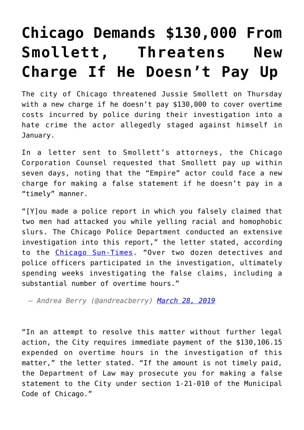## **[Chicago Demands \\$130,000 From](https://intellectualtakeout.org/2019/03/chicago-demands-130000-from-smollett-threatens-new-charge-if-he-doesnt-pay-up/) [Smollett, Threatens New](https://intellectualtakeout.org/2019/03/chicago-demands-130000-from-smollett-threatens-new-charge-if-he-doesnt-pay-up/) [Charge If He Doesn't Pay Up](https://intellectualtakeout.org/2019/03/chicago-demands-130000-from-smollett-threatens-new-charge-if-he-doesnt-pay-up/)**

The city of Chicago threatened Jussie Smollett on Thursday with a new charge if he doesn't pay \$130,000 to cover overtime costs incurred by police during their investigation into a hate crime the actor allegedly staged against himself in January.

In a letter sent to Smollett's attorneys, the Chicago Corporation Counsel requested that Smollett pay up within seven days, noting that the "Empire" actor could face a new charge for making a false statement if he doesn't pay in a "timely" manner.

"[Y]ou made a police report in which you falsely claimed that two men had attacked you while yelling racial and homophobic slurs. The Chicago Police Department conducted an extensive investigation into this report," the letter stated, according to the [Chicago Sun-Times.](https://chicago.suntimes.com/news/jussie-smollett-rahm-emanuel-investigation-costs-letter/?utm_campaign=ChicagoSunTimes&utm_content=1553802780&utm_medium=social&utm_source=twitter) "Over two dozen detectives and police officers participated in the investigation, ultimately spending weeks investigating the false claims, including a substantial number of overtime hours."

*— Andrea Berry (@andreacberry) [March 28, 2019](https://twitter.com/andreacberry/status/1111374172112875520?ref_src=twsrc%5Etfw)*

"In an attempt to resolve this matter without further legal action, the City requires immediate payment of the \$130,106.15 expended on overtime hours in the investigation of this matter," the letter stated. "If the amount is not timely paid, the Department of Law may prosecute you for making a false statement to the City under section 1-21-010 of the Municipal Code of Chicago."